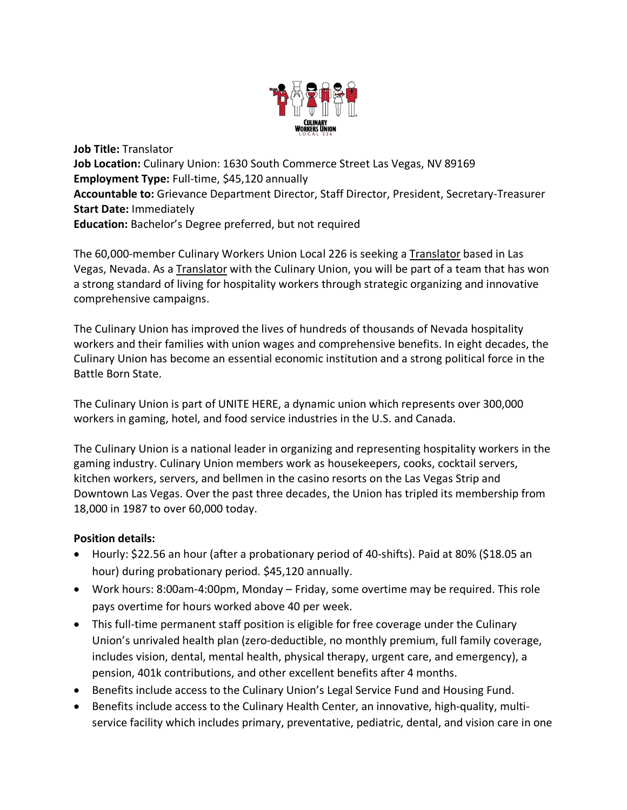

**Job Title:** Translator **Job Location:** Culinary Union: 1630 South Commerce Street Las Vegas, NV 89169 **Employment Type:** Full-time, \$45,120 annually **Accountable to:** Grievance Department Director, Staff Director, President, Secretary-Treasurer **Start Date:** Immediately **Education:** Bachelor's Degree preferred, but not required

The 60,000-member Culinary Workers Union Local 226 is seeking a Translator based in Las Vegas, Nevada. As a Translator with the Culinary Union, you will be part of a team that has won a strong standard of living for hospitality workers through strategic organizing and innovative comprehensive campaigns.

The Culinary Union has improved the lives of hundreds of thousands of Nevada hospitality workers and their families with union wages and comprehensive benefits. In eight decades, the Culinary Union has become an essential economic institution and a strong political force in the Battle Born State.

The Culinary Union is part of UNITE HERE, a dynamic union which represents over 300,000 workers in gaming, hotel, and food service industries in the U.S. and Canada.

The Culinary Union is a national leader in organizing and representing hospitality workers in the gaming industry. Culinary Union members work as housekeepers, cooks, cocktail servers, kitchen workers, servers, and bellmen in the casino resorts on the Las Vegas Strip and Downtown Las Vegas. Over the past three decades, the Union has tripled its membership from 18,000 in 1987 to over 60,000 today.

## **Position details:**

- Hourly: \$22.56 an hour (after a probationary period of 40-shifts). Paid at 80% (\$18.05 an hour) during probationary period. \$45,120 annually.
- Work hours: 8:00am-4:00pm, Monday Friday, some overtime may be required. This role pays overtime for hours worked above 40 per week.
- This full-time permanent staff position is eligible for free coverage under the Culinary Union's unrivaled health plan (zero-deductible, no monthly premium, full family coverage, includes vision, dental, mental health, physical therapy, urgent care, and emergency), a pension, 401k contributions, and other excellent benefits after 4 months.
- Benefits include access to the Culinary Union's Legal Service Fund and Housing Fund.
- Benefits include access to the Culinary Health Center, an innovative, high-quality, multiservice facility which includes primary, preventative, pediatric, dental, and vision care in one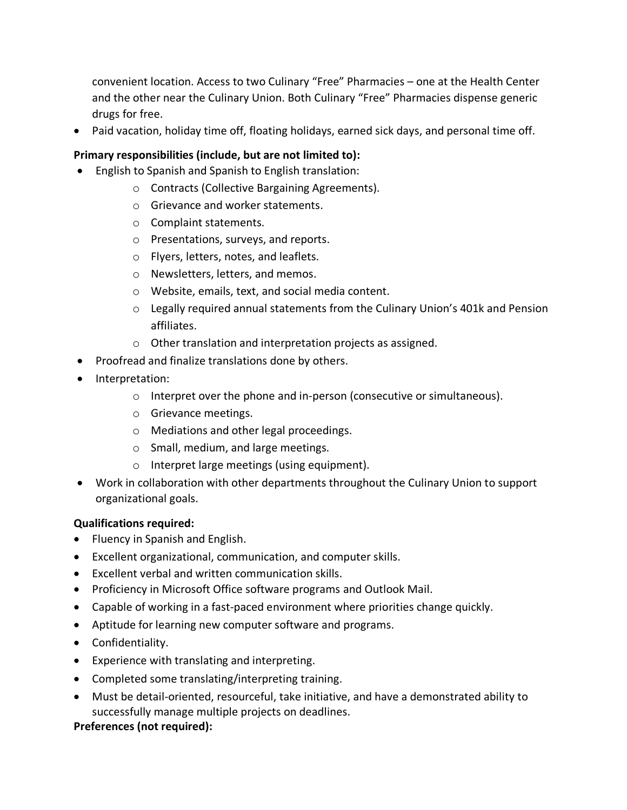convenient location. Access to two Culinary "Free" Pharmacies – one at the Health Center and the other near the Culinary Union. Both Culinary "Free" Pharmacies dispense generic drugs for free.

• Paid vacation, holiday time off, floating holidays, earned sick days, and personal time off.

# **Primary responsibilities (include, but are not limited to):**

- English to Spanish and Spanish to English translation:
	- o Contracts (Collective Bargaining Agreements).
	- o Grievance and worker statements.
	- o Complaint statements.
	- o Presentations, surveys, and reports.
	- o Flyers, letters, notes, and leaflets.
	- o Newsletters, letters, and memos.
	- o Website, emails, text, and social media content.
	- $\circ$  Legally required annual statements from the Culinary Union's 401k and Pension affiliates.
	- o Other translation and interpretation projects as assigned.
- Proofread and finalize translations done by others.
- Interpretation:
	- o Interpret over the phone and in-person (consecutive or simultaneous).
	- o Grievance meetings.
	- o Mediations and other legal proceedings.
	- o Small, medium, and large meetings.
	- o Interpret large meetings (using equipment).
- Work in collaboration with other departments throughout the Culinary Union to support organizational goals.

## **Qualifications required:**

- Fluency in Spanish and English.
- Excellent organizational, communication, and computer skills.
- Excellent verbal and written communication skills.
- Proficiency in Microsoft Office software programs and Outlook Mail.
- Capable of working in a fast-paced environment where priorities change quickly.
- Aptitude for learning new computer software and programs.
- Confidentiality.
- Experience with translating and interpreting.
- Completed some translating/interpreting training.
- Must be detail-oriented, resourceful, take initiative, and have a demonstrated ability to successfully manage multiple projects on deadlines.

## **Preferences (not required):**